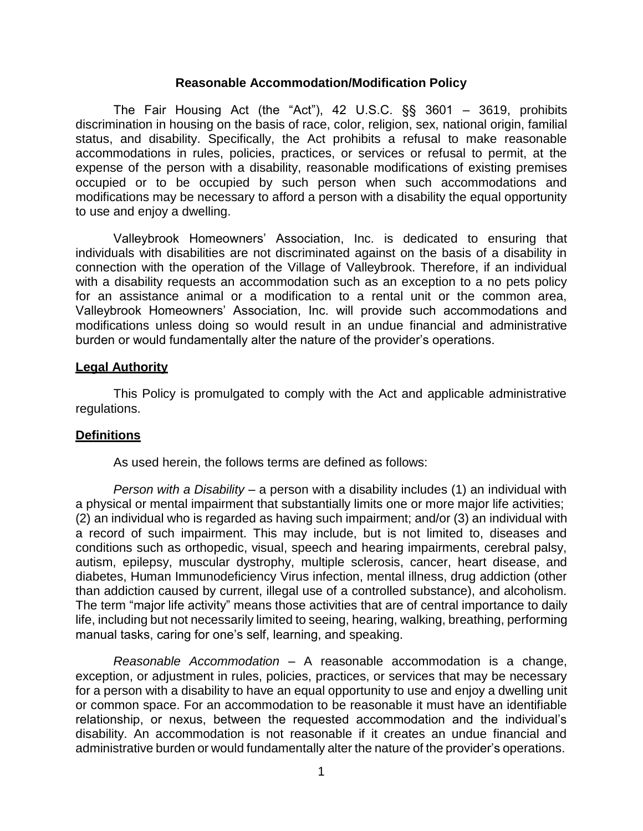### **Reasonable Accommodation/Modification Policy**

The Fair Housing Act (the "Act"), 42 U.S.C. §§ 3601 – 3619, prohibits discrimination in housing on the basis of race, color, religion, sex, national origin, familial status, and disability. Specifically, the Act prohibits a refusal to make reasonable accommodations in rules, policies, practices, or services or refusal to permit, at the expense of the person with a disability, reasonable modifications of existing premises occupied or to be occupied by such person when such accommodations and modifications may be necessary to afford a person with a disability the equal opportunity to use and enjoy a dwelling.

Valleybrook Homeowners' Association, Inc. is dedicated to ensuring that individuals with disabilities are not discriminated against on the basis of a disability in connection with the operation of the Village of Valleybrook. Therefore, if an individual with a disability requests an accommodation such as an exception to a no pets policy for an assistance animal or a modification to a rental unit or the common area, Valleybrook Homeowners' Association, Inc. will provide such accommodations and modifications unless doing so would result in an undue financial and administrative burden or would fundamentally alter the nature of the provider's operations.

### **Legal Authority**

This Policy is promulgated to comply with the Act and applicable administrative regulations.

## **Definitions**

As used herein, the follows terms are defined as follows:

*Person with a Disability –* a person with a disability includes (1) an individual with a physical or mental impairment that substantially limits one or more major life activities; (2) an individual who is regarded as having such impairment; and/or (3) an individual with a record of such impairment. This may include, but is not limited to, diseases and conditions such as orthopedic, visual, speech and hearing impairments, cerebral palsy, autism, epilepsy, muscular dystrophy, multiple sclerosis, cancer, heart disease, and diabetes, Human Immunodeficiency Virus infection, mental illness, drug addiction (other than addiction caused by current, illegal use of a controlled substance), and alcoholism. The term "major life activity" means those activities that are of central importance to daily life, including but not necessarily limited to seeing, hearing, walking, breathing, performing manual tasks, caring for one's self, learning, and speaking.

*Reasonable Accommodation* – A reasonable accommodation is a change, exception, or adjustment in rules, policies, practices, or services that may be necessary for a person with a disability to have an equal opportunity to use and enjoy a dwelling unit or common space. For an accommodation to be reasonable it must have an identifiable relationship, or nexus, between the requested accommodation and the individual's disability. An accommodation is not reasonable if it creates an undue financial and administrative burden or would fundamentally alter the nature of the provider's operations.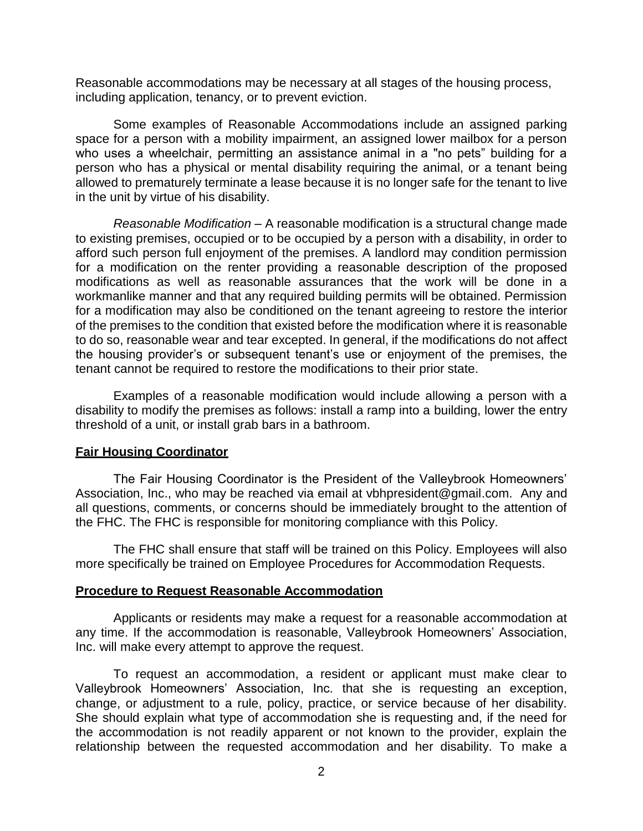Reasonable accommodations may be necessary at all stages of the housing process, including application, tenancy, or to prevent eviction.

Some examples of Reasonable Accommodations include an assigned parking space for a person with a mobility impairment, an assigned lower mailbox for a person who uses a wheelchair, permitting an assistance animal in a "no pets" building for a person who has a physical or mental disability requiring the animal, or a tenant being allowed to prematurely terminate a lease because it is no longer safe for the tenant to live in the unit by virtue of his disability.

*Reasonable Modification* – A reasonable modification is a structural change made to existing premises, occupied or to be occupied by a person with a disability, in order to afford such person full enjoyment of the premises. A landlord may condition permission for a modification on the renter providing a reasonable description of the proposed modifications as well as reasonable assurances that the work will be done in a workmanlike manner and that any required building permits will be obtained. Permission for a modification may also be conditioned on the tenant agreeing to restore the interior of the premises to the condition that existed before the modification where it is reasonable to do so, reasonable wear and tear excepted. In general, if the modifications do not affect the housing provider's or subsequent tenant's use or enjoyment of the premises, the tenant cannot be required to restore the modifications to their prior state.

Examples of a reasonable modification would include allowing a person with a disability to modify the premises as follows: install a ramp into a building, lower the entry threshold of a unit, or install grab bars in a bathroom.

#### **Fair Housing Coordinator**

The Fair Housing Coordinator is the President of the Valleybrook Homeowners' Association, Inc., who may be reached via email at vbhpresident@gmail.com. Any and all questions, comments, or concerns should be immediately brought to the attention of the FHC. The FHC is responsible for monitoring compliance with this Policy.

The FHC shall ensure that staff will be trained on this Policy. Employees will also more specifically be trained on Employee Procedures for Accommodation Requests.

#### **Procedure to Request Reasonable Accommodation**

Applicants or residents may make a request for a reasonable accommodation at any time. If the accommodation is reasonable, Valleybrook Homeowners' Association, Inc. will make every attempt to approve the request.

To request an accommodation, a resident or applicant must make clear to Valleybrook Homeowners' Association, Inc. that she is requesting an exception, change, or adjustment to a rule, policy, practice, or service because of her disability. She should explain what type of accommodation she is requesting and, if the need for the accommodation is not readily apparent or not known to the provider, explain the relationship between the requested accommodation and her disability. To make a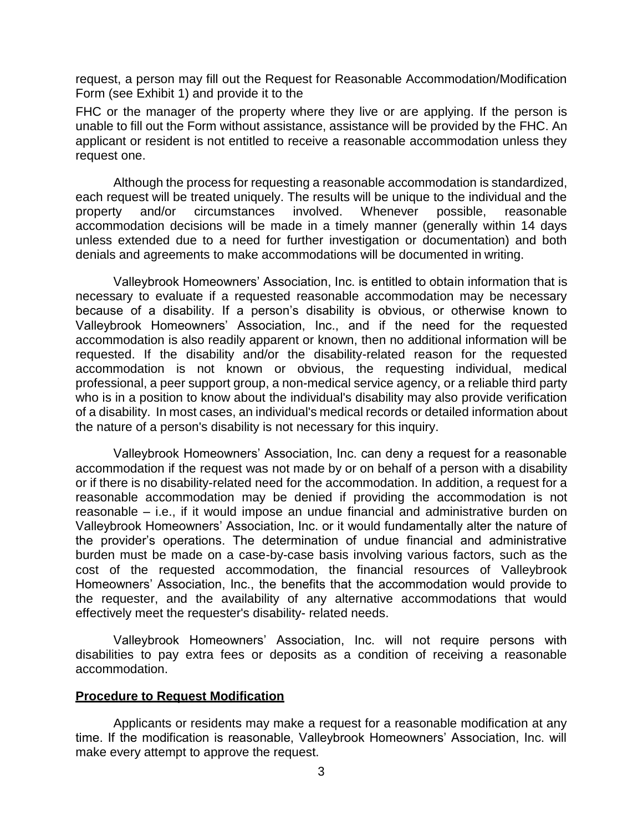request, a person may fill out the Request for Reasonable Accommodation/Modification Form (see Exhibit 1) and provide it to the

FHC or the manager of the property where they live or are applying. If the person is unable to fill out the Form without assistance, assistance will be provided by the FHC. An applicant or resident is not entitled to receive a reasonable accommodation unless they request one.

Although the process for requesting a reasonable accommodation is standardized, each request will be treated uniquely. The results will be unique to the individual and the property and/or circumstances involved. Whenever possible, reasonable accommodation decisions will be made in a timely manner (generally within 14 days unless extended due to a need for further investigation or documentation) and both denials and agreements to make accommodations will be documented in writing.

Valleybrook Homeowners' Association, Inc. is entitled to obtain information that is necessary to evaluate if a requested reasonable accommodation may be necessary because of a disability. If a person's disability is obvious, or otherwise known to Valleybrook Homeowners' Association, Inc., and if the need for the requested accommodation is also readily apparent or known, then no additional information will be requested. If the disability and/or the disability-related reason for the requested accommodation is not known or obvious, the requesting individual, medical professional, a peer support group, a non-medical service agency, or a reliable third party who is in a position to know about the individual's disability may also provide verification of a disability. In most cases, an individual's medical records or detailed information about the nature of a person's disability is not necessary for this inquiry.

Valleybrook Homeowners' Association, Inc. can deny a request for a reasonable accommodation if the request was not made by or on behalf of a person with a disability or if there is no disability-related need for the accommodation. In addition, a request for a reasonable accommodation may be denied if providing the accommodation is not reasonable – i.e., if it would impose an undue financial and administrative burden on Valleybrook Homeowners' Association, Inc. or it would fundamentally alter the nature of the provider's operations. The determination of undue financial and administrative burden must be made on a case-by-case basis involving various factors, such as the cost of the requested accommodation, the financial resources of Valleybrook Homeowners' Association, Inc., the benefits that the accommodation would provide to the requester, and the availability of any alternative accommodations that would effectively meet the requester's disability- related needs.

Valleybrook Homeowners' Association, Inc. will not require persons with disabilities to pay extra fees or deposits as a condition of receiving a reasonable accommodation.

### **Procedure to Request Modification**

Applicants or residents may make a request for a reasonable modification at any time. If the modification is reasonable, Valleybrook Homeowners' Association, Inc. will make every attempt to approve the request.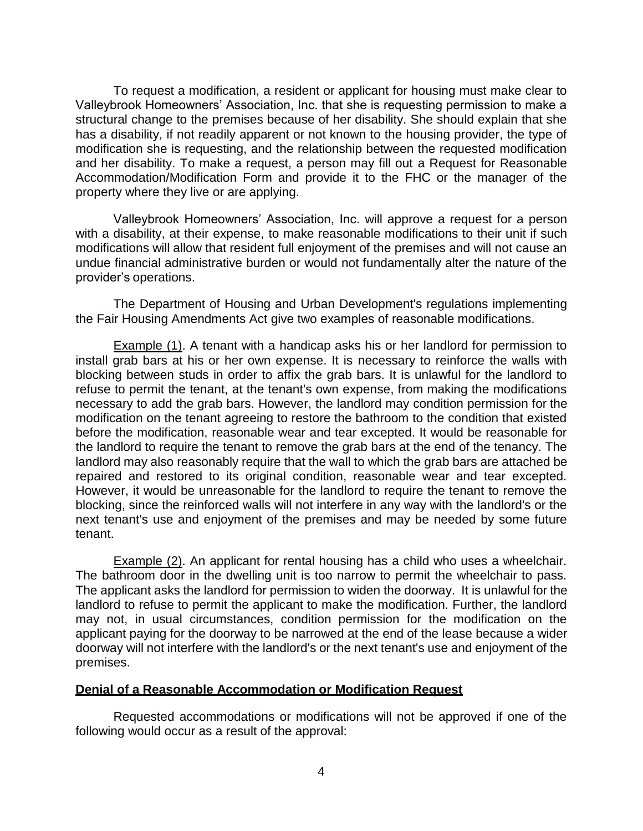To request a modification, a resident or applicant for housing must make clear to Valleybrook Homeowners' Association, Inc. that she is requesting permission to make a structural change to the premises because of her disability. She should explain that she has a disability, if not readily apparent or not known to the housing provider, the type of modification she is requesting, and the relationship between the requested modification and her disability. To make a request, a person may fill out a Request for Reasonable Accommodation/Modification Form and provide it to the FHC or the manager of the property where they live or are applying.

Valleybrook Homeowners' Association, Inc. will approve a request for a person with a disability, at their expense, to make reasonable modifications to their unit if such modifications will allow that resident full enjoyment of the premises and will not cause an undue financial administrative burden or would not fundamentally alter the nature of the provider's operations.

The Department of Housing and Urban Development's regulations implementing the Fair Housing Amendments Act give two examples of reasonable modifications.

Example (1). A tenant with a handicap asks his or her landlord for permission to install grab bars at his or her own expense. It is necessary to reinforce the walls with blocking between studs in order to affix the grab bars. It is unlawful for the landlord to refuse to permit the tenant, at the tenant's own expense, from making the modifications necessary to add the grab bars. However, the landlord may condition permission for the modification on the tenant agreeing to restore the bathroom to the condition that existed before the modification, reasonable wear and tear excepted. It would be reasonable for the landlord to require the tenant to remove the grab bars at the end of the tenancy. The landlord may also reasonably require that the wall to which the grab bars are attached be repaired and restored to its original condition, reasonable wear and tear excepted. However, it would be unreasonable for the landlord to require the tenant to remove the blocking, since the reinforced walls will not interfere in any way with the landlord's or the next tenant's use and enjoyment of the premises and may be needed by some future tenant.

Example (2). An applicant for rental housing has a child who uses a wheelchair. The bathroom door in the dwelling unit is too narrow to permit the wheelchair to pass. The applicant asks the landlord for permission to widen the doorway. It is unlawful for the landlord to refuse to permit the applicant to make the modification. Further, the landlord may not, in usual circumstances, condition permission for the modification on the applicant paying for the doorway to be narrowed at the end of the lease because a wider doorway will not interfere with the landlord's or the next tenant's use and enjoyment of the premises.

## **Denial of a Reasonable Accommodation or Modification Request**

Requested accommodations or modifications will not be approved if one of the following would occur as a result of the approval: